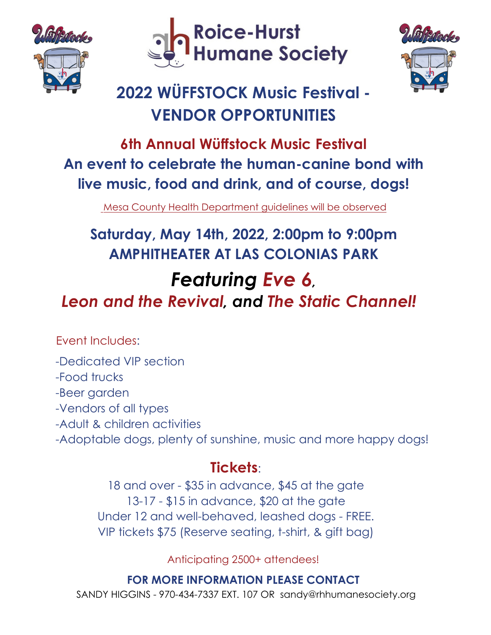





## **2022 WÜFFSTOCK Music Festival - VENDOR OPPORTUNITIES**

### **6th Annual Wüffstock Music Festival An event to celebrate the human-canine bond with live music, food and drink, and of course, dogs!**

Mesa County Health Department guidelines will be observed

# **Saturday, May 14th, 2022, 2:00pm to 9:00pm AMPHITHEATER AT LAS COLONIAS PARK**

#### *Featuring Eve 6, Leon and the Revival, and The Static Channel!*

Event Includes:

- -Dedicated VIP section
- -Food trucks
- -Beer garden
- -Vendors of all types
- -Adult & children activities
- -Adoptable dogs, plenty of sunshine, music and more happy dogs!

#### **Tickets**:

18 and over - \$35 in advance, \$45 at the gate 13-17 - \$15 in advance, \$20 at the gate Under 12 and well-behaved, leashed dogs - FREE. VIP tickets \$75 (Reserve seating, t-shirt, & gift bag)

Anticipating 2500+ attendees!

#### **FOR MORE INFORMATION PLEASE CONTACT**

SANDY HIGGINS - 970-434-7337 EXT. 107 OR sandy@rhhumanesociety.org